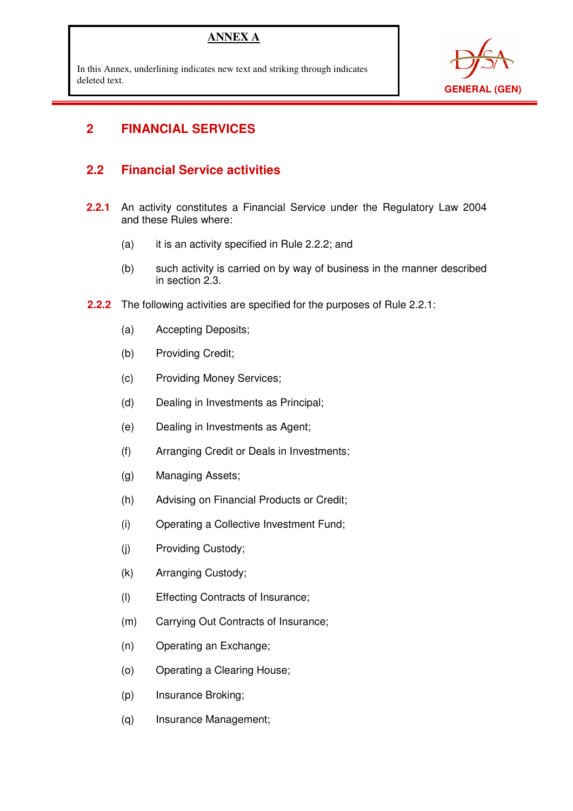### **ANNEX A**

In this Annex, underlining indicates new text and striking through indicates deleted text.



# **2 FINANCIAL SERVICES**

 $\overline{a}$ 

### **2.2 Financial Service activities**

- **2.2.1** An activity constitutes a Financial Service under the Regulatory Law 2004 and these Rules where:
	- (a) it is an activity specified in Rule 2.2.2; and
	- (b) such activity is carried on by way of business in the manner described in section 2.3.
- **2.2.2** The following activities are specified for the purposes of Rule 2.2.1:
	- (a) Accepting Deposits;
	- (b) Providing Credit;
	- (c) Providing Money Services;
	- (d) Dealing in Investments as Principal;
	- (e) Dealing in Investments as Agent;
	- (f) Arranging Credit or Deals in Investments;
	- (g) Managing Assets;
	- (h) Advising on Financial Products or Credit;
	- (i) Operating a Collective Investment Fund;
	- (j) Providing Custody;
	- (k) Arranging Custody;
	- (l) Effecting Contracts of Insurance;
	- (m) Carrying Out Contracts of Insurance;
	- (n) Operating an Exchange;
	- (o) Operating a Clearing House;
	- (p) Insurance Broking;
	- (q) Insurance Management;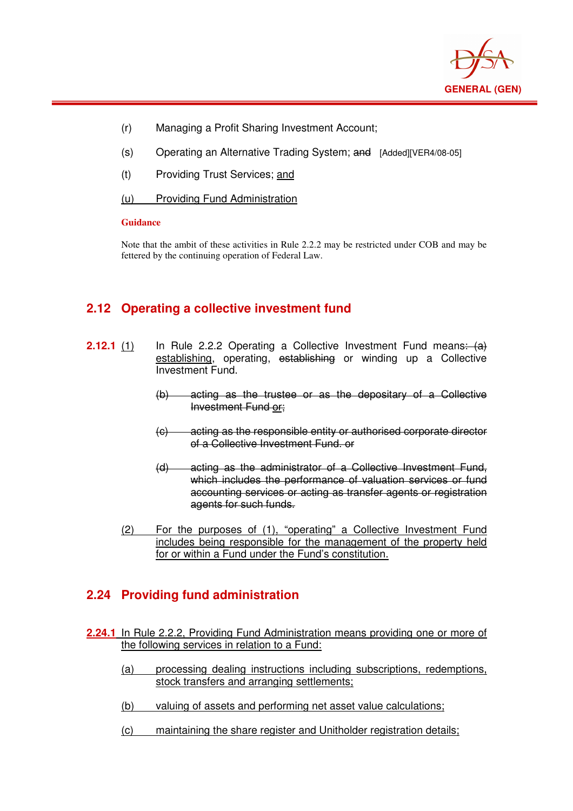

- (r) Managing a Profit Sharing Investment Account;
- (s) Operating an Alternative Trading System; and [Added][VER4/08-05]
- (t) Providing Trust Services; and
- (u) Providing Fund Administration

#### **Guidance**

 $\overline{a}$ 

Note that the ambit of these activities in Rule 2.2.2 may be restricted under COB and may be fettered by the continuing operation of Federal Law.

### **2.12 Operating a collective investment fund**

- **2.12.1** (1) In Rule 2.2.2 Operating a Collective Investment Fund means: (a) establishing, operating, establishing or winding up a Collective Investment Fund.
	- (b) acting as the trustee or as the depositary of a Collective Investment Fund or;
	- (c) acting as the responsible entity or authorised corporate director of a Collective Investment Fund. or
	- (d) acting as the administrator of a Collective Investment Fund, which includes the performance of valuation services or fund accounting services or acting as transfer agents or registration agents for such funds.
	- (2) For the purposes of (1), "operating" a Collective Investment Fund includes being responsible for the management of the property held for or within a Fund under the Fund's constitution.

### **2.24 Providing fund administration**

- **2.24.1** In Rule 2.2.2, Providing Fund Administration means providing one or more of the following services in relation to a Fund:
	- (a) processing dealing instructions including subscriptions, redemptions, stock transfers and arranging settlements;
	- (b) valuing of assets and performing net asset value calculations;
	- (c) maintaining the share register and Unitholder registration details;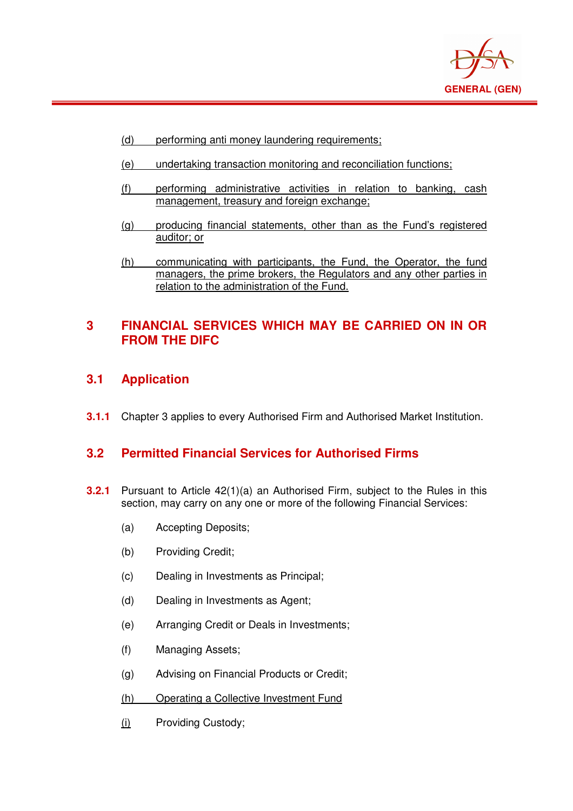

- (d) performing anti money laundering requirements;
- (e) undertaking transaction monitoring and reconciliation functions;
- (f) performing administrative activities in relation to banking, cash management, treasury and foreign exchange;
- (g) producing financial statements, other than as the Fund's registered auditor; or
- (h) communicating with participants, the Fund, the Operator, the fund managers, the prime brokers, the Regulators and any other parties in relation to the administration of the Fund.

### **3 FINANCIAL SERVICES WHICH MAY BE CARRIED ON IN OR FROM THE DIFC**

**3.1 Application** 

 $\overline{a}$ 

**3.1.1** Chapter 3 applies to every Authorised Firm and Authorised Market Institution.

#### **3.2 Permitted Financial Services for Authorised Firms**

- **3.2.1** Pursuant to Article 42(1)(a) an Authorised Firm, subject to the Rules in this section, may carry on any one or more of the following Financial Services:
	- (a) Accepting Deposits;
	- (b) Providing Credit;
	- (c) Dealing in Investments as Principal;
	- (d) Dealing in Investments as Agent;
	- (e) Arranging Credit or Deals in Investments;
	- (f) Managing Assets;
	- (g) Advising on Financial Products or Credit;
	- (h) Operating a Collective Investment Fund
	- (i) Providing Custody;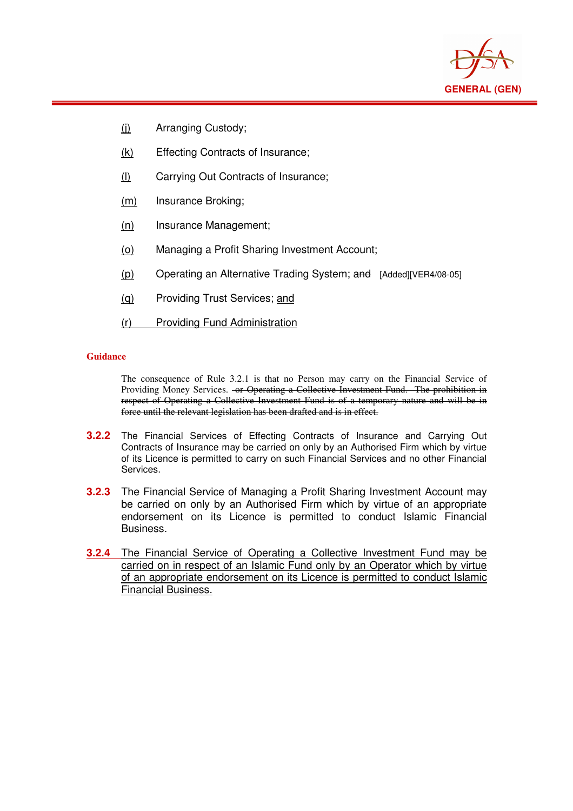

- (j) Arranging Custody;
- (k) Effecting Contracts of Insurance;
- (l) Carrying Out Contracts of Insurance;
- (m) Insurance Broking;
- (n) Insurance Management;
- (o) Managing a Profit Sharing Investment Account;
- (p) Operating an Alternative Trading System; and [Added][VER4/08-05]
- (q) Providing Trust Services; and
- (r) Providing Fund Administration

#### **Guidance**

 $\overline{a}$ 

The consequence of Rule 3.2.1 is that no Person may carry on the Financial Service of Providing Money Services. - or Operating a Collective Investment Fund. The prohibition in respect of Operating a Collective Investment Fund is of a temporary nature and will be in force until the relevant legislation has been drafted and is in effect.

- **3.2.2** The Financial Services of Effecting Contracts of Insurance and Carrying Out Contracts of Insurance may be carried on only by an Authorised Firm which by virtue of its Licence is permitted to carry on such Financial Services and no other Financial Services.
- **3.2.3** The Financial Service of Managing a Profit Sharing Investment Account may be carried on only by an Authorised Firm which by virtue of an appropriate endorsement on its Licence is permitted to conduct Islamic Financial Business.
- **3.2.4** The Financial Service of Operating a Collective Investment Fund may be carried on in respect of an Islamic Fund only by an Operator which by virtue of an appropriate endorsement on its Licence is permitted to conduct Islamic Financial Business.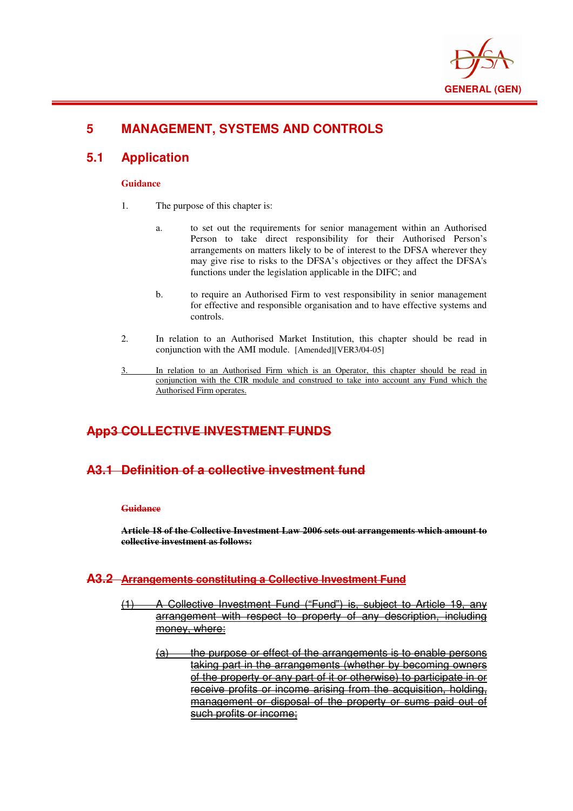

# **5 MANAGEMENT, SYSTEMS AND CONTROLS**

### **5.1 Application**

 $\overline{a}$ 

#### **Guidance**

- 1. The purpose of this chapter is:
	- a. to set out the requirements for senior management within an Authorised Person to take direct responsibility for their Authorised Person's arrangements on matters likely to be of interest to the DFSA wherever they may give rise to risks to the DFSA's objectives or they affect the DFSA's functions under the legislation applicable in the DIFC; and
	- b. to require an Authorised Firm to vest responsibility in senior management for effective and responsible organisation and to have effective systems and controls.
- 2. In relation to an Authorised Market Institution, this chapter should be read in conjunction with the AMI module. [Amended][VER3/04-05]
- 3. In relation to an Authorised Firm which is an Operator, this chapter should be read in conjunction with the CIR module and construed to take into account any Fund which the Authorised Firm operates.

### **App3 COLLECTIVE INVESTMENT FUNDS**

#### **A3.1 Definition of a collective investment fund**

#### **Guidance**

**Article 18 of the Collective Investment Law 2006 sets out arrangements which amount to collective investment as follows:**

#### **A3.2 Arrangements constituting a Collective Investment Fund**

- A Collective Investment Fund ("Fund") is, subject to Article 19 arrangement with respect to property of any description, including money, where:
	- $(a)$  the purpose or effect of the arrangements is to enable persons taking part in the arrangements (whether by becoming owners of the property or any part of it or otherwise) to participate in or receive profits or income arising from the acquisition, holding, management or disposal of the property or sums paid out of such profits or income;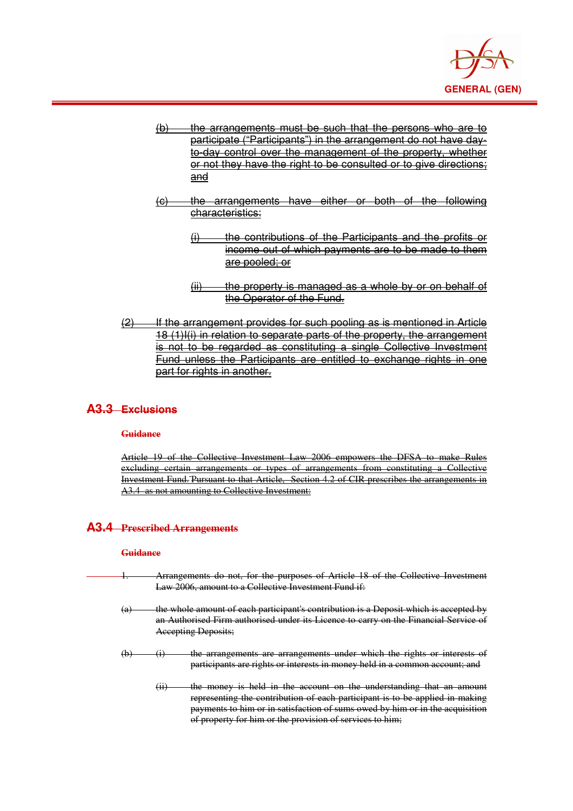

- $(b)$  the arrangements must be such that the persons who are to participate ("Participants") in the arrangement do not have dayto-day control over the management of the property, whether or not they have the right to be consulted or to give directions: and
- (c) the arrangements have either or both of the following characteristics:
	- $(i)$  the contributions of the Participants and the profits or income out of which payments are to be made to them are pooled; or
		- the property is managed as a whole by or on behalf of the Operator of the Fund.
- (2) If the arrangement provides for such pooling as is mentioned in Article 18 (1)I(i) in relation to separate parts of the property, the arrangement is not to be regarded as constituting a single Collective Investment Fund unless the Participants are entitled to exchange rights in one part for rights in another.

#### **A3.3 Exclusions**

 $\overline{a}$ 

#### **Guidance**

Article 19 of the Collective Investment Law 2006 empowers the DFSA to make Rules excluding certain arrangements or types of arrangements from constituting a Collective Investment Fund. Pursuant to that Article, Section 4.2 of CIR prescribes the arrangements in A3.4 as not amounting to Collective Investment:

#### **A3.4 Prescribed Arrangements**

#### **Guidance**

- Arrangements do not, for the purposes of Article 18 of the Collective Investment Law 2006, amount to a Collective Investment Fund if:
	- (a) the whole amount of each participant's contribution is a Deposit which is accepted by an Authorised Firm authorised under its Licence to carry on the Financial Service of Accepting Deposits;
	- (b) (i) the arrangements are arrangements under which the rights or interests of participants are rights or interests in money held in a common account; and
		- (ii) the money is held in the account on the understanding that an amount representing the contribution of each participant is to be applied in making payments to him or in satisfaction of sums owed by him or in the acquisition of property for him or the provision of services to him;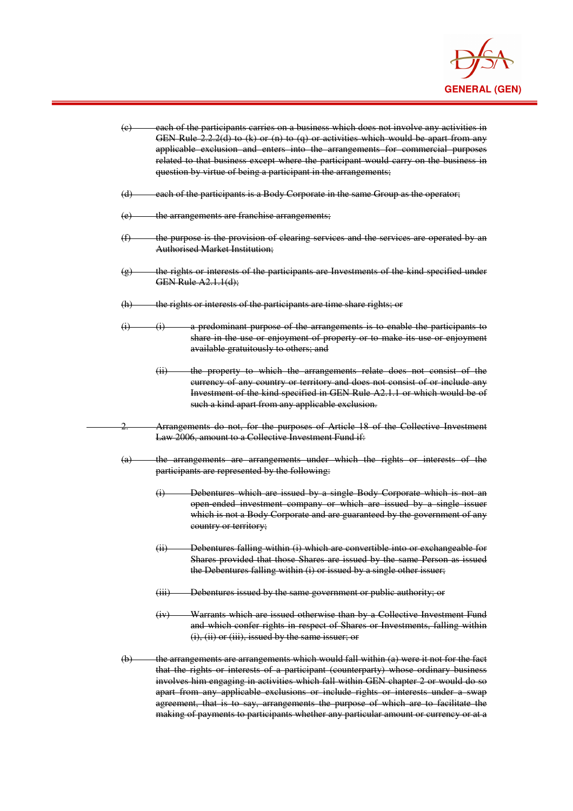

| (e)               | each of the participants carries on a business which does not involve any activities in<br>GEN Rule $2.2.2(d)$ to (k) or (n) to (q) or activities which would be apart from any<br>applicable exclusion and enters into the arrangements for commercial purposes<br>related to that business except where the participant would carry on the business in<br>question by virtue of being a participant in the arrangements;                                                                                                             |  |
|-------------------|----------------------------------------------------------------------------------------------------------------------------------------------------------------------------------------------------------------------------------------------------------------------------------------------------------------------------------------------------------------------------------------------------------------------------------------------------------------------------------------------------------------------------------------|--|
| (d)               | each of the participants is a Body Corporate in the same Group as the operator;                                                                                                                                                                                                                                                                                                                                                                                                                                                        |  |
| (e)               | the arrangements are franchise arrangements;                                                                                                                                                                                                                                                                                                                                                                                                                                                                                           |  |
| (f)               | the purpose is the provision of clearing services and the services are operated by an<br><b>Authorised Market Institution;</b>                                                                                                                                                                                                                                                                                                                                                                                                         |  |
| $\left(g\right)$  | the rights or interests of the participants are Investments of the kind specified under<br><b>GEN Rule A2.1.1(d);</b>                                                                                                                                                                                                                                                                                                                                                                                                                  |  |
| (h)               | the rights or interests of the participants are time share rights; or                                                                                                                                                                                                                                                                                                                                                                                                                                                                  |  |
| $\ddot{a}$        | a predominant purpose of the arrangements is to enable the participants to<br>$\overline{a}$<br>share in the use or enjoyment of property or to make its use or enjoyment<br>available gratuitously to others; and                                                                                                                                                                                                                                                                                                                     |  |
|                   | the property to which the arrangements relate does not consist of the<br>(ii)<br>eurrency of any country or territory and does not consist of or include any<br>Investment of the kind specified in GEN Rule A2.1.1 or which would be of<br>such a kind apart from any applicable exclusion.                                                                                                                                                                                                                                           |  |
| 2.                | Arrangements do not, for the purposes of Article 18 of the Collective Investment<br>Law 2006, amount to a Collective Investment Fund if:                                                                                                                                                                                                                                                                                                                                                                                               |  |
| $\left( a\right)$ | the arrangements are arrangements under which the rights or interests of the<br>participants are represented by the following:                                                                                                                                                                                                                                                                                                                                                                                                         |  |
|                   | Debentures which are issued by a single Body Corporate which is not an<br>$\left( i\right)$<br>open ended investment company or which are issued by a single issuer<br>which is not a Body Corporate and are guaranteed by the government of any<br>country or territory;                                                                                                                                                                                                                                                              |  |
|                   | Debentures falling within (i) which are convertible into or exchangeable for<br>(ii)<br>Shares provided that those Shares are issued by the same Person as issued<br>the Debentures falling within (i) or issued by a single other issuer;                                                                                                                                                                                                                                                                                             |  |
|                   | (iii) Debentures issued by the same government or public authority; or                                                                                                                                                                                                                                                                                                                                                                                                                                                                 |  |
|                   | Warrants which are issued otherwise than by a Collective Investment Fund<br>(iv)<br>and which confer rights in respect of Shares or Investments, falling within<br>$(i)$ , $(ii)$ or $(iii)$ , issued by the same issuer; or                                                                                                                                                                                                                                                                                                           |  |
| $\biguplus$       | the arrangements are arrangements which would fall within (a) were it not for the fact<br>that the rights or interests of a participant (counterparty) whose ordinary business<br>involves him engaging in activities which fall within GEN chapter 2 or would do so<br>apart from any applicable exclusions or include rights or interests under a swap<br>agreement, that is to say, arrangements the purpose of which are to facilitate the<br>making of payments to participants whether any particular amount or currency or at a |  |

 $\overline{a}$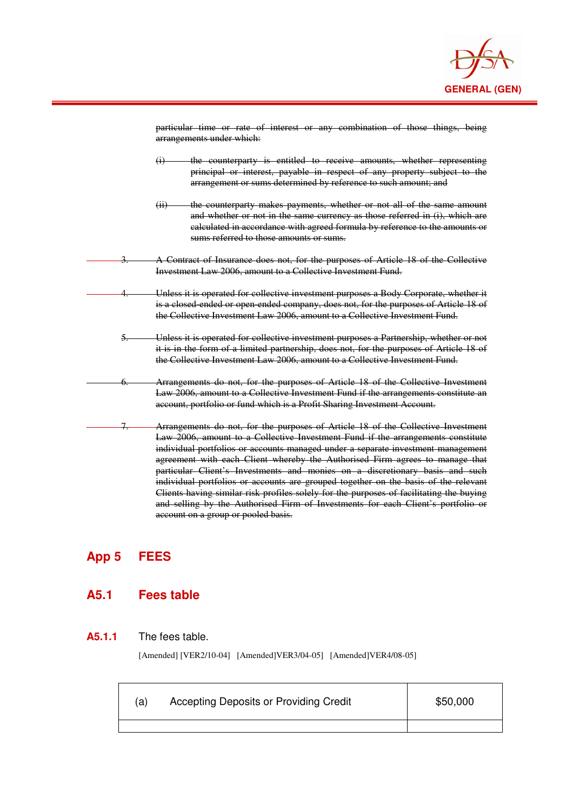

|      | particular time or rate of interest or any combination of those things, being<br>arrangements under which:                                                                                                                                                                                                                                                                                                                                                                                                                                                                                                                                                                                                                           |
|------|--------------------------------------------------------------------------------------------------------------------------------------------------------------------------------------------------------------------------------------------------------------------------------------------------------------------------------------------------------------------------------------------------------------------------------------------------------------------------------------------------------------------------------------------------------------------------------------------------------------------------------------------------------------------------------------------------------------------------------------|
|      | the counterparty is entitled to receive amounts, whether representing<br>$\ddot{a}$<br>principal or interest, payable in respect of any property subject to the<br>arrangement or sums determined by reference to such amount; and                                                                                                                                                                                                                                                                                                                                                                                                                                                                                                   |
|      | the counterparty makes payments, whether or not all of the same amount<br>(ii)<br>and whether or not in the same currency as those referred in (i), which are<br>calculated in accordance with agreed formula by reference to the amounts or<br>sums referred to those amounts or sums.                                                                                                                                                                                                                                                                                                                                                                                                                                              |
|      | A Contract of Insurance does not, for the purposes of Article 18 of the Collective<br>Investment Law 2006, amount to a Collective Investment Fund.                                                                                                                                                                                                                                                                                                                                                                                                                                                                                                                                                                                   |
|      | Unless it is operated for collective investment purposes a Body Corporate, whether it<br>is a closed ended or open ended company, does not, for the purposes of Article 18 of<br>the Collective Investment Law 2006, amount to a Collective Investment Fund.                                                                                                                                                                                                                                                                                                                                                                                                                                                                         |
| $5-$ | Unless it is operated for collective investment purposes a Partnership, whether or not<br>it is in the form of a limited partnership, does not, for the purposes of Article 18 of<br>the Collective Investment Law 2006, amount to a Collective Investment Fund.                                                                                                                                                                                                                                                                                                                                                                                                                                                                     |
| 6.   | Arrangements do not, for the purposes of Article 18 of the Collective Investment<br>Law 2006, amount to a Collective Investment Fund if the arrangements constitute an<br>account, portfolio or fund which is a Profit Sharing Investment Account.                                                                                                                                                                                                                                                                                                                                                                                                                                                                                   |
|      | Arrangements do not, for the purposes of Article 18 of the Collective Investment<br>Law 2006, amount to a Collective Investment Fund if the arrangements constitute<br>individual portfolios or accounts managed under a separate investment management<br>agreement with each Client whereby the Authorised Firm agrees to manage that<br>particular Client's Investments and monies on a discretionary basis and such<br>individual portfolios or accounts are grouped together on the basis of the relevant<br>Clients having similar risk profiles solely for the purposes of facilitating the buying<br>and selling by the Authorised Firm of Investments for each Client's portfolio or<br>account on a group or pooled basis. |

# **App 5 FEES**

 $\overline{a}$ 

# **A5.1 Fees table**

#### **A5.1.1** The fees table.

[Amended] [VER2/10-04] [Amended]VER3/04-05] [Amended]VER4/08-05]

| a) | Accepting Deposits or Providing Credit | \$50,000 |
|----|----------------------------------------|----------|
|    |                                        |          |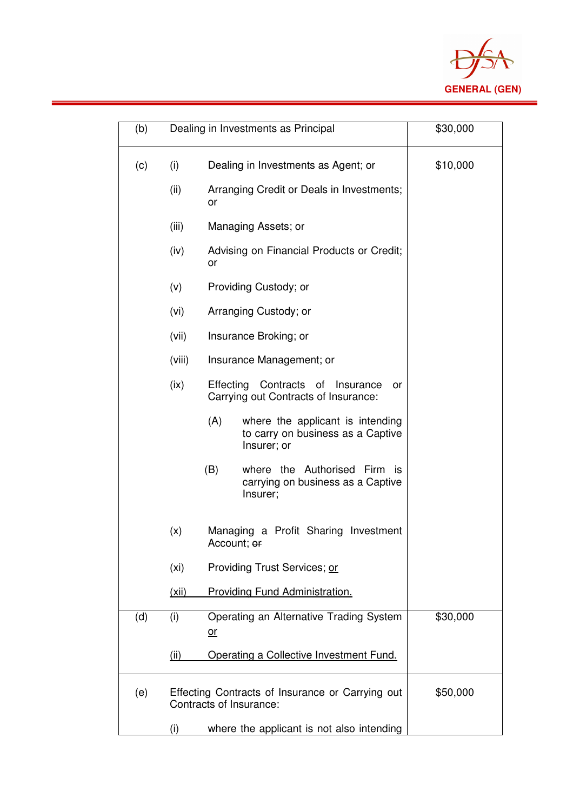

| (b) |                   | Dealing in Investments as Principal                                                         | \$30,000 |
|-----|-------------------|---------------------------------------------------------------------------------------------|----------|
| (c) | (i)               | Dealing in Investments as Agent; or                                                         | \$10,000 |
|     | (ii)              | Arranging Credit or Deals in Investments;<br>or                                             |          |
|     | (iii)             | Managing Assets; or                                                                         |          |
|     | (iv)              | Advising on Financial Products or Credit;<br>or                                             |          |
|     | (v)               | Providing Custody; or                                                                       |          |
|     | (vi)              | Arranging Custody; or                                                                       |          |
|     | (vii)             | Insurance Broking; or                                                                       |          |
|     | (viii)            | Insurance Management; or                                                                    |          |
|     | (ix)              | Effecting Contracts<br>of<br>Insurance<br>or<br>Carrying out Contracts of Insurance:        |          |
|     |                   | (A)<br>where the applicant is intending<br>to carry on business as a Captive<br>Insurer; or |          |
|     |                   | (B)<br>where the Authorised Firm is<br>carrying on business as a Captive<br>Insurer;        |          |
|     | (x)               | Managing a Profit Sharing Investment<br>Account; <del>or</del>                              |          |
|     | (x <sub>i</sub> ) | Providing Trust Services; or                                                                |          |
|     | (xii)             | Providing Fund Administration.                                                              |          |
| (d) | (i)               | Operating an Alternative Trading System<br><u>or</u>                                        | \$30,000 |
|     | (ii)              | Operating a Collective Investment Fund.                                                     |          |
| (e) |                   | Effecting Contracts of Insurance or Carrying out<br>Contracts of Insurance:                 | \$50,000 |
|     | (i)               | where the applicant is not also intending                                                   |          |

 $\overline{a}$